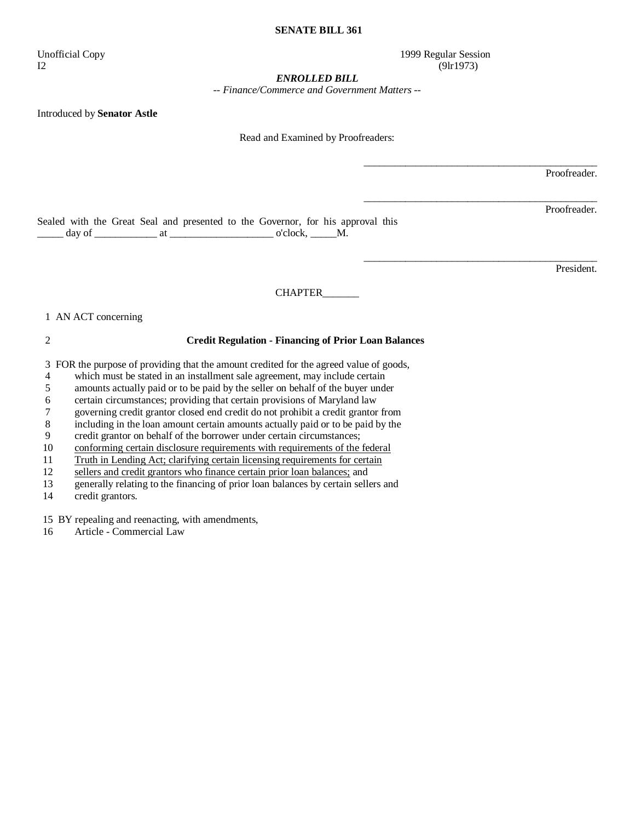#### **SENATE BILL 361**

I2 (9lr1973)

Unofficial Copy 1999 Regular Session

\_\_\_\_\_\_\_\_\_\_\_\_\_\_\_\_\_\_\_\_\_\_\_\_\_\_\_\_\_\_\_\_\_\_\_\_\_\_\_\_\_\_\_\_\_

\_\_\_\_\_\_\_\_\_\_\_\_\_\_\_\_\_\_\_\_\_\_\_\_\_\_\_\_\_\_\_\_\_\_\_\_\_\_\_\_\_\_\_\_\_

\_\_\_\_\_\_\_\_\_\_\_\_\_\_\_\_\_\_\_\_\_\_\_\_\_\_\_\_\_\_\_\_\_\_\_\_\_\_\_\_\_\_\_\_\_

#### *ENROLLED BILL*

*-- Finance/Commerce and Government Matters --* 

Introduced by **Senator Astle** 

Read and Examined by Proofreaders:

Proofreader.

Proofreader.

Sealed with the Great Seal and presented to the Governor, for his approval this  $\frac{1}{\text{day of}}$  at  $\frac{1}{\text{day of}}$  at  $\frac{1}{\text{day of}}$  o'clock,  $\frac{1}{\text{day of}}$ 

President.

CHAPTER\_\_\_\_\_\_\_

### 1 AN ACT concerning

## 2 **Credit Regulation - Financing of Prior Loan Balances**

3 FOR the purpose of providing that the amount credited for the agreed value of goods,

4 which must be stated in an installment sale agreement, may include certain<br>5 amounts actually paid or to be paid by the seller on behalf of the buyer unde

amounts actually paid or to be paid by the seller on behalf of the buyer under

6 certain circumstances; providing that certain provisions of Maryland law

7 governing credit grantor closed end credit do not prohibit a credit grantor from

8 including in the loan amount certain amounts actually paid or to be paid by the

9 credit grantor on behalf of the borrower under certain circumstances;

10 conforming certain disclosure requirements with requirements of the federal

11 Truth in Lending Act; clarifying certain licensing requirements for certain

12 sellers and credit grantors who finance certain prior loan balances; and

13 generally relating to the financing of prior loan balances by certain sellers and

14 credit grantors.

15 BY repealing and reenacting, with amendments,

16 Article - Commercial Law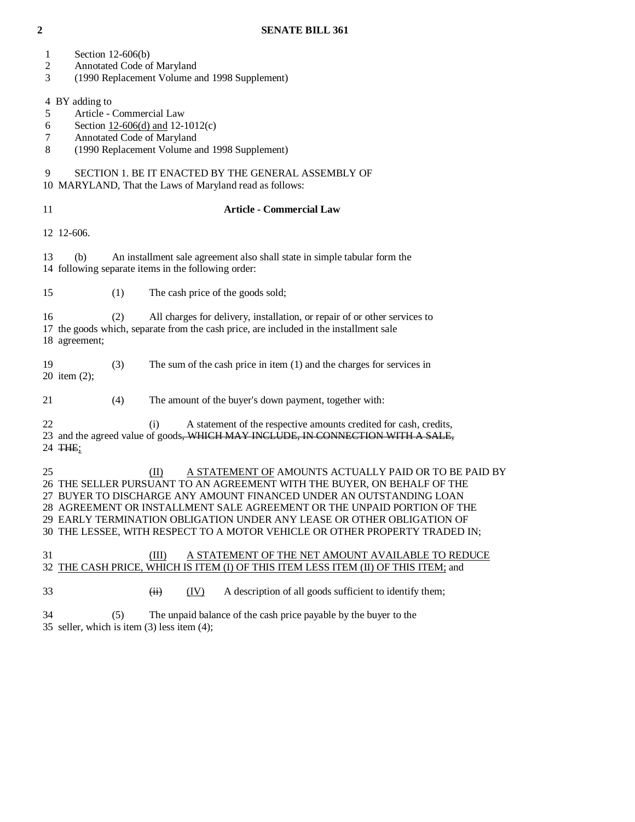- 1 Section 12-606(b)
- 2 Annotated Code of Maryland
- 3 (1990 Replacement Volume and 1998 Supplement)

4 BY adding to

- 5 Article Commercial Law
- 6 Section 12-606(d) and 12-1012(c)
- 7 Annotated Code of Maryland
- 8 (1990 Replacement Volume and 1998 Supplement)

# 9 SECTION 1. BE IT ENACTED BY THE GENERAL ASSEMBLY OF

10 MARYLAND, That the Laws of Maryland read as follows:

## 11 **Article - Commercial Law**

12 12-606.

 13 (b) An installment sale agreement also shall state in simple tabular form the 14 following separate items in the following order:

15 (1) The cash price of the goods sold;

 16 (2) All charges for delivery, installation, or repair of or other services to 17 the goods which, separate from the cash price, are included in the installment sale 18 agreement;

 19 (3) The sum of the cash price in item (1) and the charges for services in 20 item (2);

21 (4) The amount of the buyer's down payment, together with:

22 (i) A statement of the respective amounts credited for cash, credits, 23 and the agreed value of goods, WHICH MAY INCLUDE, IN CONNECTION WITH A SALE, 24 THE;

25 (II) A STATEMENT OF AMOUNTS ACTUALLY PAID OR TO BE PAID BY 26 THE SELLER PURSUANT TO AN AGREEMENT WITH THE BUYER, ON BEHALF OF THE 27 BUYER TO DISCHARGE ANY AMOUNT FINANCED UNDER AN OUTSTANDING LOAN 28 AGREEMENT OR INSTALLMENT SALE AGREEMENT OR THE UNPAID PORTION OF THE 29 EARLY TERMINATION OBLIGATION UNDER ANY LEASE OR OTHER OBLIGATION OF 30 THE LESSEE, WITH RESPECT TO A MOTOR VEHICLE OR OTHER PROPERTY TRADED IN;

 31 (III) A STATEMENT OF THE NET AMOUNT AVAILABLE TO REDUCE 32 THE CASH PRICE, WHICH IS ITEM (I) OF THIS ITEM LESS ITEM (II) OF THIS ITEM; and

- $\overrightarrow{ii}$  (IV) A description of all goods sufficient to identify them;
- 34 (5) The unpaid balance of the cash price payable by the buyer to the 35 seller, which is item (3) less item (4);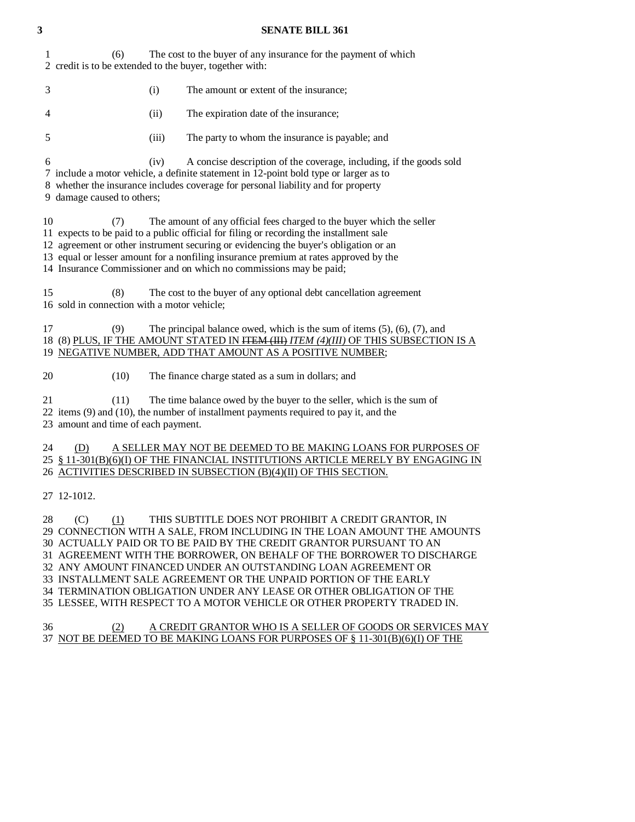| 3  |                                                                | <b>SENATE BILL 361</b>                                                                                                                                                                                                                                                                                                                                                                                                                                                                                                                                                    |
|----|----------------------------------------------------------------|---------------------------------------------------------------------------------------------------------------------------------------------------------------------------------------------------------------------------------------------------------------------------------------------------------------------------------------------------------------------------------------------------------------------------------------------------------------------------------------------------------------------------------------------------------------------------|
| 1  | (6)<br>2 credit is to be extended to the buyer, together with: | The cost to the buyer of any insurance for the payment of which                                                                                                                                                                                                                                                                                                                                                                                                                                                                                                           |
| 3  | (i)                                                            | The amount or extent of the insurance;                                                                                                                                                                                                                                                                                                                                                                                                                                                                                                                                    |
| 4  | (ii)                                                           | The expiration date of the insurance;                                                                                                                                                                                                                                                                                                                                                                                                                                                                                                                                     |
| 5  | (iii)                                                          | The party to whom the insurance is payable; and                                                                                                                                                                                                                                                                                                                                                                                                                                                                                                                           |
| 6  | (iv)<br>9 damage caused to others;                             | A concise description of the coverage, including, if the goods sold<br>7 include a motor vehicle, a definite statement in 12-point bold type or larger as to<br>8 whether the insurance includes coverage for personal liability and for property                                                                                                                                                                                                                                                                                                                         |
| 10 | (7)                                                            | The amount of any official fees charged to the buyer which the seller<br>11 expects to be paid to a public official for filing or recording the installment sale<br>12 agreement or other instrument securing or evidencing the buyer's obligation or an<br>13 equal or lesser amount for a nonfiling insurance premium at rates approved by the<br>14 Insurance Commissioner and on which no commissions may be paid;                                                                                                                                                    |
|    | 15<br>(8)<br>16 sold in connection with a motor vehicle;       | The cost to the buyer of any optional debt cancellation agreement                                                                                                                                                                                                                                                                                                                                                                                                                                                                                                         |
| 17 | (9)                                                            | The principal balance owed, which is the sum of items $(5)$ , $(6)$ , $(7)$ , and<br>18 (8) PLUS, IF THE AMOUNT STATED IN HEM (HI) ITEM (4)(III) OF THIS SUBSECTION IS A<br>19 NEGATIVE NUMBER, ADD THAT AMOUNT AS A POSITIVE NUMBER;                                                                                                                                                                                                                                                                                                                                     |
| 20 | (10)                                                           | The finance charge stated as a sum in dollars; and                                                                                                                                                                                                                                                                                                                                                                                                                                                                                                                        |
| 21 | (11)<br>23 amount and time of each payment.                    | The time balance owed by the buyer to the seller, which is the sum of<br>22 items (9) and (10), the number of installment payments required to pay it, and the                                                                                                                                                                                                                                                                                                                                                                                                            |
|    | 24<br>(D)                                                      | A SELLER MAY NOT BE DEEMED TO BE MAKING LOANS FOR PURPOSES OF<br>25 § 11-301(B)(6)(I) OF THE FINANCIAL INSTITUTIONS ARTICLE MERELY BY ENGAGING IN<br>26 ACTIVITIES DESCRIBED IN SUBSECTION (B)(4)(II) OF THIS SECTION.                                                                                                                                                                                                                                                                                                                                                    |
|    | 27 12-1012.                                                    |                                                                                                                                                                                                                                                                                                                                                                                                                                                                                                                                                                           |
| 28 | (C)<br>(1)                                                     | THIS SUBTITLE DOES NOT PROHIBIT A CREDIT GRANTOR, IN<br>29 CONNECTION WITH A SALE, FROM INCLUDING IN THE LOAN AMOUNT THE AMOUNTS<br>30 ACTUALLY PAID OR TO BE PAID BY THE CREDIT GRANTOR PURSUANT TO AN<br>31 AGREEMENT WITH THE BORROWER, ON BEHALF OF THE BORROWER TO DISCHARGE<br>32 ANY AMOUNT FINANCED UNDER AN OUTSTANDING LOAN AGREEMENT OR<br>33 INSTALLMENT SALE AGREEMENT OR THE UNPAID PORTION OF THE EARLY<br>34 TERMINATION OBLIGATION UNDER ANY LEASE OR OTHER OBLIGATION OF THE<br>35 LESSEE, WITH RESPECT TO A MOTOR VEHICLE OR OTHER PROPERTY TRADED IN. |
| 36 | (2)                                                            | A CREDIT GRANTOR WHO IS A SELLER OF GOODS OR SERVICES MAY<br>37 NOT BE DEEMED TO BE MAKING LOANS FOR PURPOSES OF § 11-301(B)(6)(I) OF THE                                                                                                                                                                                                                                                                                                                                                                                                                                 |